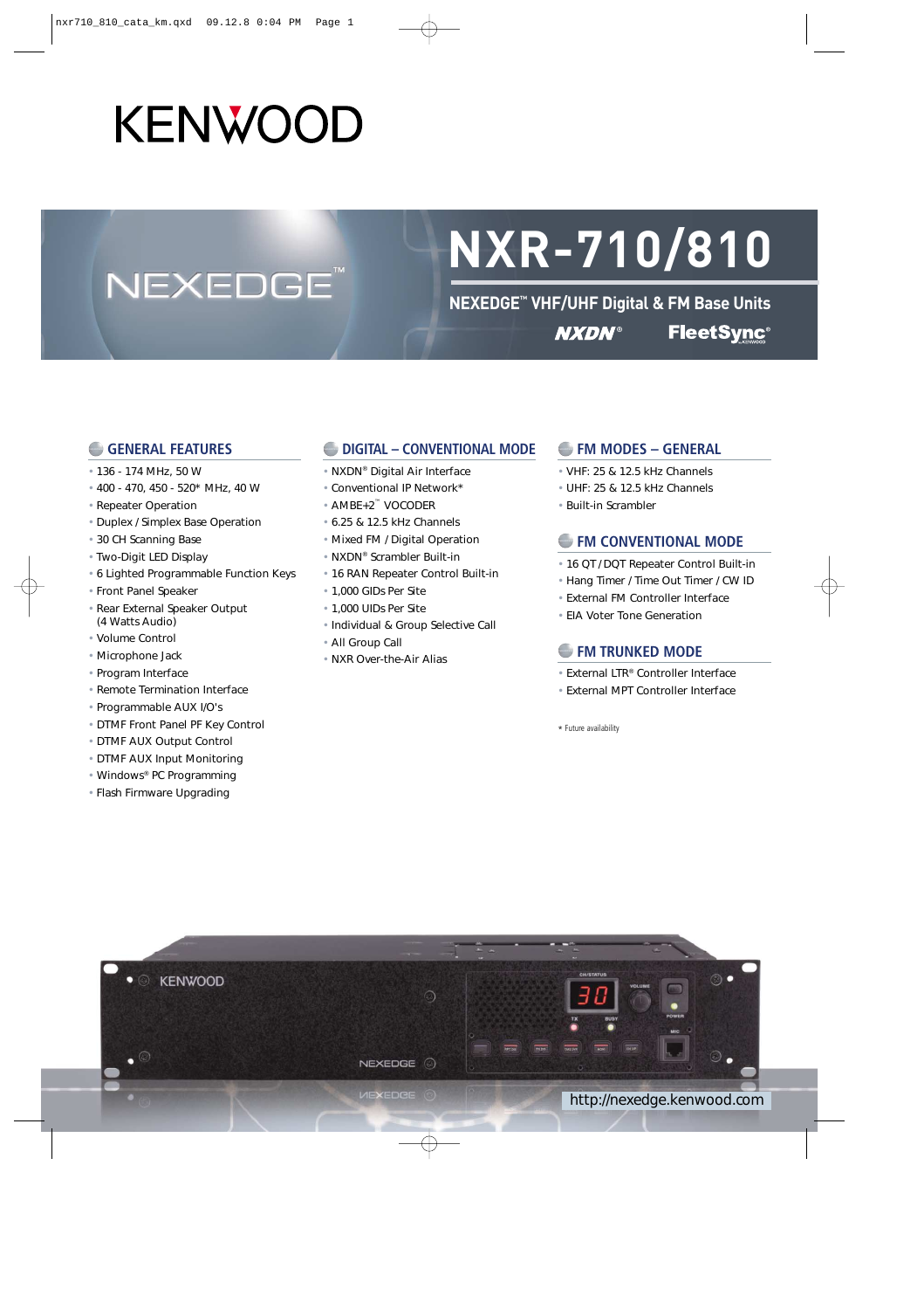# KENWOOD

**NEXEDGE** 

# **NXR-710/810**

**NEXEDGE™ VHF/UHF Digital & FM Base Units FleetSync® NXDN®** 

#### **GENERAL FEATURES**

- 136 174 MHz, 50 W
- 400 470, 450 520\* MHz, 40 W
- Repeater Operation
- Duplex / Simplex Base Operation
- 30 CH Scanning Base
- Two-Digit LED Display
- 6 Lighted Programmable Function Keys
- Front Panel Speaker
- Rear External Speaker Output (4 Watts Audio)
- Volume Control
- Microphone Jack
- Program Interface
- Remote Termination Interface
- Programmable AUX I/O's
- DTMF Front Panel PF Key Control
- DTMF AUX Output Control
- DTMF AUX Input Monitoring
- Windows® PC Programming
- Flash Firmware Upgrading

#### **DIGITAL – CONVENTIONAL MODE**

- NXDN® Digital Air Interface
- Conventional IP Network\*
- AMBE+2™ VOCODER
- 6.25 & 12.5 kHz Channels
- Mixed FM / Digital Operation
- NXDN® Scrambler Built-in
- 16 RAN Repeater Control Built-in
- 1,000 GIDs Per Site
- 1,000 UIDs Per Site
- Individual & Group Selective Call
- All Group Call
- NXR Over-the-Air Alias

#### **FM MODES – GENERAL**

- VHF: 25 & 12.5 kHz Channels
- UHF: 25 & 12.5 kHz Channels
- Built-in Scrambler

#### **FM CONVENTIONAL MODE**

- 16 QT / DQT Repeater Control Built-in
- Hang Timer / Time Out Timer / CW ID
- External FM Controller Interface
- EIA Voter Tone Generation

#### **FM TRUNKED MODE**

- External LTR® Controller Interface
- External MPT Controller Interface

\* Future availability